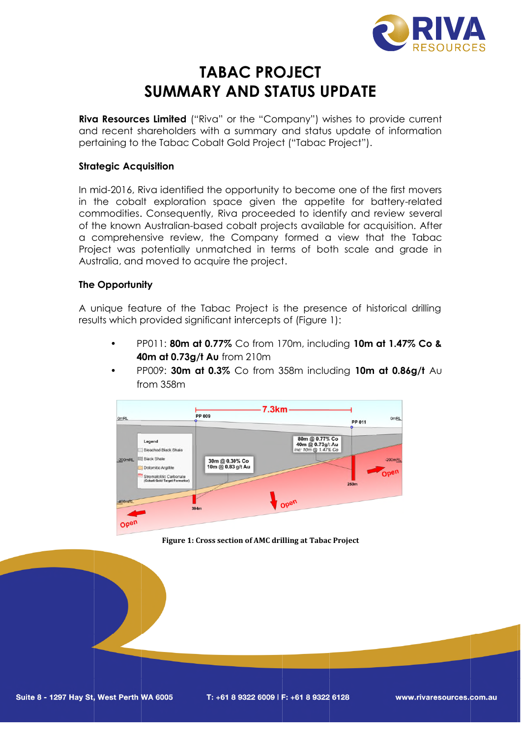

## **SUMMARY AND STATUS UPDATE AND TABAC PROJECT**

**Riva Resources Limited** ("Riva" or the "Company") wishes to provide current and recent shareholders with a summary and status update of information pertaining to the Tabac Cobalt Gold Project ("Tabac Project").

# **Strategic Acquisition** o the Tal<br>**cquisitior**<br>, Riva ide

In mid-2016, Riva identified the opportunity to become one of the first movers in the cobalt exploration space given the appetite for battery relatedcommodities. Consequently, Riva proceeded to identify and review several of the known Australian Australian-based cobalt projects available for acquisition. After a comprehensive review, the Company formed a view that the Tabac Project was potentially unmatched in terms of both scale and grade in Australia Australia, and moved to acquire the project project. is with a summary and status update of info<br>Cobalt Gold Project ("Tabac Project").<br>Bed the opportunity to become one of the firs<br>ion space given the appetite for batter,<br>mtly, Riva proceeded to identify and review<br>based co

#### **The Opportunity**

A unique feature of the Tabac Project is the presence of historical drilling results which provided significant intercepts of (Figure 1): , and moved to acquire the project.<br> **ortunity**<br>
e feature of the Tabac Project is the<br>
inch provided significant intercepts of

- PP011: **80m at 0.77%** Co from 170m, including **10m at 1.47% Co & 40m at 0.73g/t Au 0.73g/t**  from 210m
- PP009: **30m at 0.3%** Co from 358m including **10m at 0.86g/t** Aufrom 358m



**Figure 1 1: Cross section of AMC drilling at Tabac Project**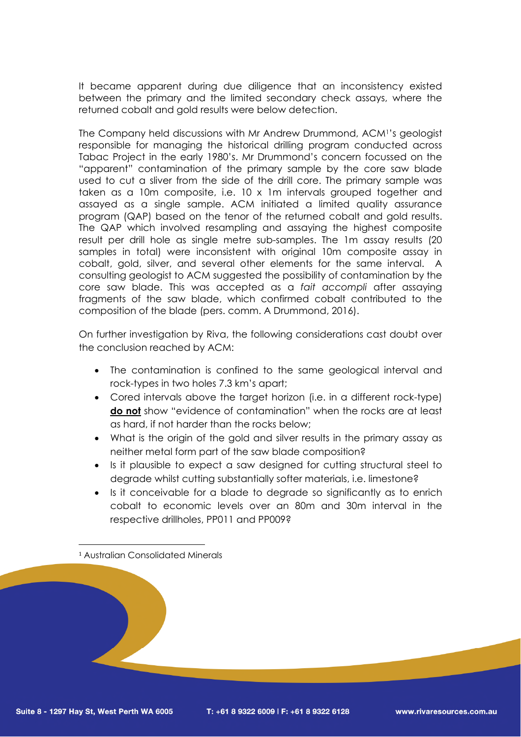It became apparent during due diligence that an inconsistency existed between the primary and the limited secondary check assays, where the returned cobalt and gold results were below detection.

The Company held discussions with Mr Andrew Drummond, ACM<sup>1</sup> 's geologist responsible for managing the historical drilling program conducted across Tabac Project in the early 1980's. Mr Drummond's concern focussed on the "apparent" contamination of the primary sample by the core saw blade used to cut a sliver from the side of the drill core. The primary sample was taken as a 10m composite, i.e. 10 x 1m intervals grouped together and assayed as a single sample. ACM initiated a limited quality assurance program (QAP) based on the tenor of the returned cobalt and gold results. The QAP which involved resampling and assaying the highest composite result per drill hole as single metre sub-samples. The 1m assay results (20 samples in total) were inconsistent with original 10m composite assay in cobalt, gold, silver, and several other elements for the same interval. A consulting geologist to ACM suggested the possibility of contamination by the core saw blade. This was accepted as a *fait accompli* after assaying fragments of the saw blade, which confirmed cobalt contributed to the composition of the blade (pers. comm. A Drummond, 2016).

On further investigation by Riva, the following considerations cast doubt over the conclusion reached by ACM:

- The contamination is confined to the same geological interval and rock-types in two holes 7.3 km's apart;
- Cored intervals above the target horizon (i.e. in a different rock-type) **do not** show "evidence of contamination" when the rocks are at least as hard, if not harder than the rocks below;
- What is the origin of the gold and silver results in the primary assay as neither metal form part of the saw blade composition?
- Is it plausible to expect a saw designed for cutting structural steel to degrade whilst cutting substantially softer materials, i.e. limestone?
- Is it conceivable for a blade to degrade so significantly as to enrich cobalt to economic levels over an 80m and 30m interval in the respective drillholes, PP011 and PP009?

<sup>1</sup> Australian Consolidated Minerals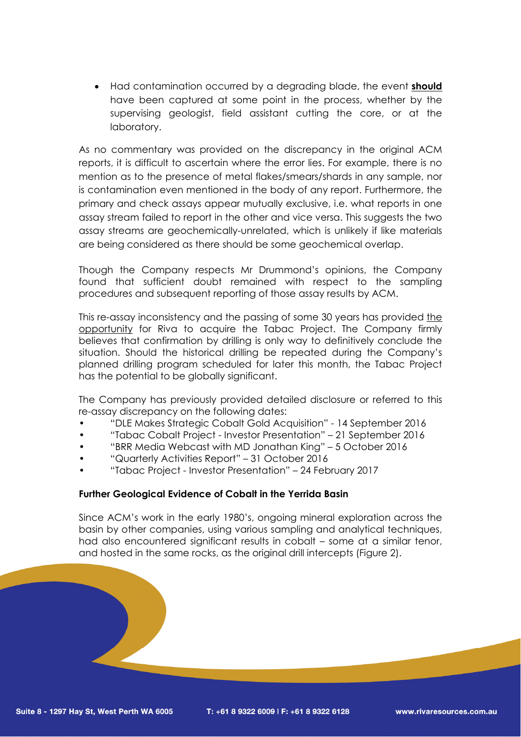Had contamination occurred by a degrading blade, the event **should** have been captured at some point in the process, whether by the supervising geologist, field assistant cutting the core, or at the laboratory.

As no commentary was provided on the discrepancy in the original ACM reports, it is difficult to ascertain where the error lies. For example, there is no mention as to the presence of metal flakes/smears/shards in any sample, nor is contamination even mentioned in the body of any report. Furthermore, the primary and check assays appear mutually exclusive, i.e. what reports in one assay stream failed to report in the other and vice versa. This suggests the two assay streams are geochemically-unrelated, which is unlikely if like materials are being considered as there should be some geochemical overlap.

Though the Company respects Mr Drummond's opinions, the Company found that sufficient doubt remained with respect to the sampling procedures and subsequent reporting of those assay results by ACM.

This re-assay inconsistency and the passing of some 30 years has provided the opportunity for Riva to acquire the Tabac Project. The Company firmly believes that confirmation by drilling is only way to definitively conclude the situation. Should the historical drilling be repeated during the Company's planned drilling program scheduled for later this month, the Tabac Project has the potential to be globally significant.

The Company has previously provided detailed disclosure or referred to this re-assay discrepancy on the following dates:

- "DLE Makes Strategic Cobalt Gold Acquisition" 14 September 2016
- "Tabac Cobalt Project Investor Presentation" 21 September 2016
- "BRR Media Webcast with MD Jonathan King" 5 October 2016
- "Quarterly Activities Report" 31 October 2016
- "Tabac Project Investor Presentation" 24 February 2017

#### **Further Geological Evidence of Cobalt in the Yerrida Basin**

Since ACM's work in the early 1980's, ongoing mineral exploration across the basin by other companies, using various sampling and analytical techniques, had also encountered significant results in cobalt – some at a similar tenor, and hosted in the same rocks, as the original drill intercepts (Figure 2).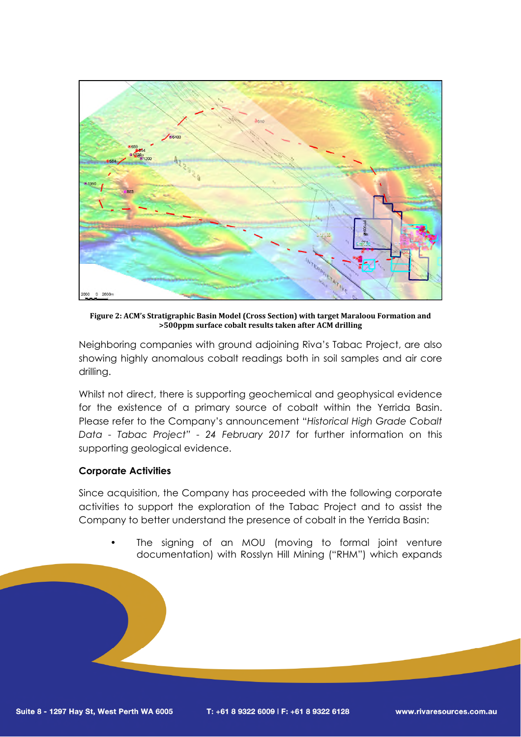

**Figure 2: ACM's Stratigraphic Basin Model (Cross Section) with target Maraloou Formation and >500ppm surface cobalt results taken after ACM drilling**

Neighboring companies with ground adjoining Riva's Tabac Project, are also showing highly anomalous cobalt readings both in soil samples and air core drilling.

Whilst not direct, there is supporting geochemical and geophysical evidence for the existence of a primary source of cobalt within the Yerrida Basin. Please refer to the Company's announcement "*Historical High Grade Cobalt Data - Tabac Project" - 24 February 2017* for further information on this supporting geological evidence.

#### **Corporate Activities**

Since acquisition, the Company has proceeded with the following corporate activities to support the exploration of the Tabac Project and to assist the Company to better understand the presence of cobalt in the Yerrida Basin:

The signing of an MOU (moving to formal joint venture documentation) with Rosslyn Hill Mining ("RHM") which expands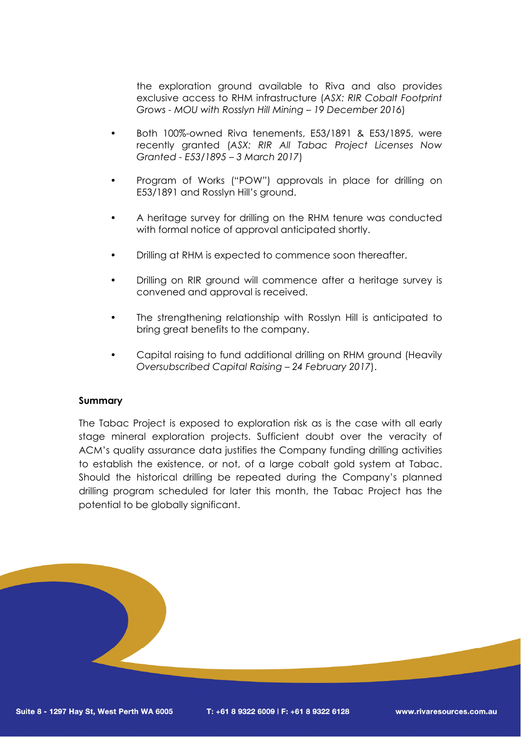the exploration ground available to Riva and also provides exclusive access to RHM infrastructure (*ASX: RIR Cobalt Footprint Grows - MOU with Rosslyn Hill Mining – 19 December 2016*)

- Both 100%-owned Riva tenements, E53/1891 & E53/1895, were recently granted (*ASX: RIR All Tabac Project Licenses Now Granted - E53/1895 – 3 March 2017*)
- Program of Works ("POW") approvals in place for drilling on E53/1891 and Rosslyn Hill's ground.
- A heritage survey for drilling on the RHM tenure was conducted with formal notice of approval anticipated shortly.
- Drilling at RHM is expected to commence soon thereafter.
- Drilling on RIR ground will commence after a heritage survey is convened and approval is received.
- The strengthening relationship with Rosslyn Hill is anticipated to bring great benefits to the company.
- Capital raising to fund additional drilling on RHM ground (Heavily *Oversubscribed Capital Raising – 24 February 2017*).

#### **Summary**

The Tabac Project is exposed to exploration risk as is the case with all early stage mineral exploration projects. Sufficient doubt over the veracity of ACM's quality assurance data justifies the Company funding drilling activities to establish the existence, or not, of a large cobalt gold system at Tabac. Should the historical drilling be repeated during the Company's planned drilling program scheduled for later this month, the Tabac Project has the potential to be globally significant.